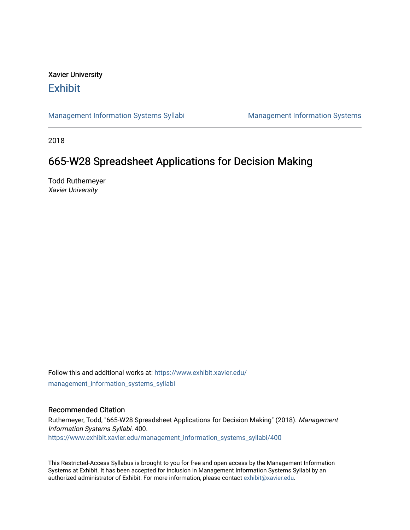## Xavier University **Exhibit**

[Management Information Systems Syllabi](https://www.exhibit.xavier.edu/management_information_systems_syllabi) Management Information Systems

2018

# 665-W28 Spreadsheet Applications for Decision Making

Todd Ruthemeyer Xavier University

Follow this and additional works at: [https://www.exhibit.xavier.edu/](https://www.exhibit.xavier.edu/management_information_systems_syllabi?utm_source=www.exhibit.xavier.edu%2Fmanagement_information_systems_syllabi%2F400&utm_medium=PDF&utm_campaign=PDFCoverPages) [management\\_information\\_systems\\_syllabi](https://www.exhibit.xavier.edu/management_information_systems_syllabi?utm_source=www.exhibit.xavier.edu%2Fmanagement_information_systems_syllabi%2F400&utm_medium=PDF&utm_campaign=PDFCoverPages) 

#### Recommended Citation

Ruthemeyer, Todd, "665-W28 Spreadsheet Applications for Decision Making" (2018). Management Information Systems Syllabi. 400. [https://www.exhibit.xavier.edu/management\\_information\\_systems\\_syllabi/400](https://www.exhibit.xavier.edu/management_information_systems_syllabi/400?utm_source=www.exhibit.xavier.edu%2Fmanagement_information_systems_syllabi%2F400&utm_medium=PDF&utm_campaign=PDFCoverPages) 

This Restricted-Access Syllabus is brought to you for free and open access by the Management Information Systems at Exhibit. It has been accepted for inclusion in Management Information Systems Syllabi by an authorized administrator of Exhibit. For more information, please contact [exhibit@xavier.edu](mailto:exhibit@xavier.edu).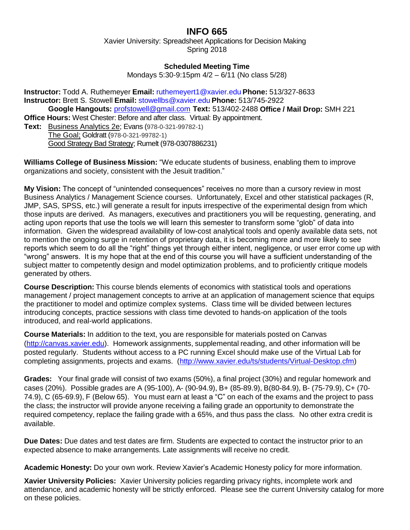## **INFO 665**

Xavier University: Spreadsheet Applications for Decision Making Spring 2018

#### **Scheduled Meeting Time**

Mondays 5:30-9:15pm 4/2 – 6/11 (No class 5/28)

**Instructor:** Todd A. Ruthemeyer **Email:** ruthemeyert1@xavier.edu **Phone:** 513/327-8633 **Instructor:** Brett S. Stowell **Email:** [stowellbs@xavier.edu](mailto:stowellbs@xavier.edu) **Phone:** 513/745-2922 **Google Hangouts:** [profstowell@gmail.com](mailto:profstowell@gmail.com) **Text:** 513/402-2488 **Office / Mail Drop:** SMH 221 **Office Hours:** West Chester: Before and after class. Virtual: By appointment.

**Text:** Business Analytics 2e; Evans (978-0-321-99782-1) The Goal; Goldratt (978-0-321-99782-1) Good Strategy Bad Strategy; Rumelt (978-0307886231)

**Williams College of Business Mission:** "We educate students of business, enabling them to improve organizations and society, consistent with the Jesuit tradition."

**My Vision:** The concept of "unintended consequences" receives no more than a cursory review in most Business Analytics / Management Science courses. Unfortunately, Excel and other statistical packages (R, JMP, SAS, SPSS, etc.) will generate a result for inputs irrespective of the experimental design from which those inputs are derived. As managers, executives and practitioners you will be requesting, generating, and acting upon reports that use the tools we will learn this semester to transform some "glob" of data into information. Given the widespread availability of low-cost analytical tools and openly available data sets, not to mention the ongoing surge in retention of proprietary data, it is becoming more and more likely to see reports which seem to do all the "right" things yet through either intent, negligence, or user error come up with "wrong" answers. It is my hope that at the end of this course you will have a sufficient understanding of the subject matter to competently design and model optimization problems, and to proficiently critique models generated by others.

**Course Description:** This course blends elements of economics with statistical tools and operations management / project management concepts to arrive at an application of management science that equips the practitioner to model and optimize complex systems. Class time will be divided between lectures introducing concepts, practice sessions with class time devoted to hands-on application of the tools introduced, and real-world applications.

**Course Materials:** In addition to the text, you are responsible for materials posted on Canvas [\(http://canvas.xavier.edu\)](http://canvas.xavier.edu/). Homework assignments, supplemental reading, and other information will be posted regularly. Students without access to a PC running Excel should make use of the Virtual Lab for completing assignments, projects and exams. [\(http://www.xavier.edu/ts/students/Virtual-Desktop.cfm\)](http://www.xavier.edu/ts/students/Virtual-Desktop.cfm)

**Grades:** Your final grade will consist of two exams (50%), a final project (30%) and regular homework and cases (20%). Possible grades are A (95-100), A- (90-94.9), B+ (85-89.9), B(80-84.9), B- (75-79.9), C+ (70- 74.9), C (65-69.9), F (Below 65). You must earn at least a "C" on each of the exams and the project to pass the class; the instructor will provide anyone receiving a failing grade an opportunity to demonstrate the required competency, replace the failing grade with a 65%, and thus pass the class. No other extra credit is available.

**Due Dates:** Due dates and test dates are firm. Students are expected to contact the instructor prior to an expected absence to make arrangements. Late assignments will receive no credit.

**Academic Honesty:** Do your own work. Review Xavier's Academic Honesty policy for more information.

**Xavier University Policies:** Xavier University policies regarding privacy rights, incomplete work and attendance, and academic honesty will be strictly enforced. Please see the current University catalog for more on these policies.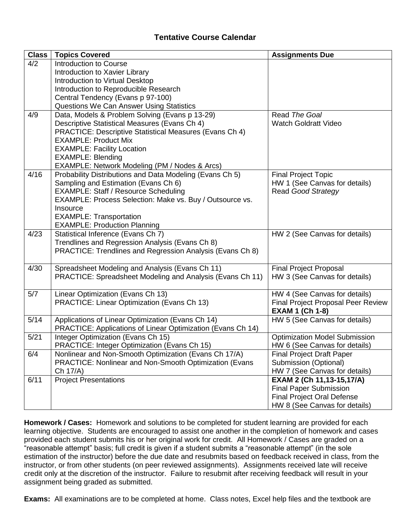#### **Tentative Course Calendar**

| <b>Class</b> | <b>Topics Covered</b>                                         | <b>Assignments Due</b>                                    |
|--------------|---------------------------------------------------------------|-----------------------------------------------------------|
| 4/2          | Introduction to Course                                        |                                                           |
|              | Introduction to Xavier Library                                |                                                           |
|              | Introduction to Virtual Desktop                               |                                                           |
|              | Introduction to Reproducible Research                         |                                                           |
|              | Central Tendency (Evans p 97-100)                             |                                                           |
|              | Questions We Can Answer Using Statistics                      |                                                           |
| 4/9          | Data, Models & Problem Solving (Evans p 13-29)                | Read The Goal                                             |
|              | Descriptive Statistical Measures (Evans Ch 4)                 | <b>Watch Goldratt Video</b>                               |
|              | PRACTICE: Descriptive Statistical Measures (Evans Ch 4)       |                                                           |
|              | <b>EXAMPLE: Product Mix</b>                                   |                                                           |
|              | <b>EXAMPLE: Facility Location</b>                             |                                                           |
|              | <b>EXAMPLE: Blending</b>                                      |                                                           |
|              | EXAMPLE: Network Modeling (PM / Nodes & Arcs)                 |                                                           |
| 4/16         | Probability Distributions and Data Modeling (Evans Ch 5)      | <b>Final Project Topic</b>                                |
|              | Sampling and Estimation (Evans Ch 6)                          | HW 1 (See Canvas for details)                             |
|              | <b>EXAMPLE: Staff / Resource Scheduling</b>                   | <b>Read Good Strategy</b>                                 |
|              | EXAMPLE: Process Selection: Make vs. Buy / Outsource vs.      |                                                           |
|              | Insource                                                      |                                                           |
|              | <b>EXAMPLE: Transportation</b>                                |                                                           |
|              | <b>EXAMPLE: Production Planning</b>                           |                                                           |
| 4/23         | Statistical Inference (Evans Ch 7)                            | HW 2 (See Canvas for details)                             |
|              | Trendlines and Regression Analysis (Evans Ch 8)               |                                                           |
|              | PRACTICE: Trendlines and Regression Analysis (Evans Ch 8)     |                                                           |
|              |                                                               |                                                           |
| 4/30         | Spreadsheet Modeling and Analysis (Evans Ch 11)               | <b>Final Project Proposal</b>                             |
|              | PRACTICE: Spreadsheet Modeling and Analysis (Evans Ch 11)     | HW 3 (See Canvas for details)                             |
| 5/7          | Linear Optimization (Evans Ch 13)                             | HW 4 (See Canvas for details)                             |
|              | PRACTICE: Linear Optimization (Evans Ch 13)                   | <b>Final Project Proposal Peer Review</b>                 |
|              |                                                               | <b>EXAM 1 (Ch 1-8)</b>                                    |
| 5/14         | Applications of Linear Optimization (Evans Ch 14)             | HW 5 (See Canvas for details)                             |
|              | PRACTICE: Applications of Linear Optimization (Evans Ch 14)   |                                                           |
| 5/21         | Integer Optimization (Evans Ch 15)                            | <b>Optimization Model Submission</b>                      |
|              | PRACTICE: Integer Optimization (Evans Ch 15)                  | HW 6 (See Canvas for details)                             |
| 6/4          | Nonlinear and Non-Smooth Optimization (Evans Ch 17/A)         |                                                           |
|              | <b>PRACTICE: Nonlinear and Non-Smooth Optimization (Evans</b> | <b>Final Project Draft Paper</b><br>Submission (Optional) |
|              | Ch 17/A)                                                      | HW 7 (See Canvas for details)                             |
| 6/11         | <b>Project Presentations</b>                                  | EXAM 2 (Ch 11,13-15,17/A)                                 |
|              |                                                               | <b>Final Paper Submission</b>                             |
|              |                                                               | <b>Final Project Oral Defense</b>                         |
|              |                                                               |                                                           |
|              |                                                               | HW 8 (See Canvas for details)                             |

**Homework / Cases:** Homework and solutions to be completed for student learning are provided for each learning objective. Students are encouraged to assist one another in the completion of homework and cases provided each student submits his or her original work for credit. All Homework / Cases are graded on a "reasonable attempt" basis; full credit is given if a student submits a "reasonable attempt" (in the sole estimation of the instructor) before the due date and resubmits based on feedback received in class, from the instructor, or from other students (on peer reviewed assignments). Assignments received late will receive credit only at the discretion of the instructor. Failure to resubmit after receiving feedback will result in your assignment being graded as submitted.

**Exams:** All examinations are to be completed at home. Class notes, Excel help files and the textbook are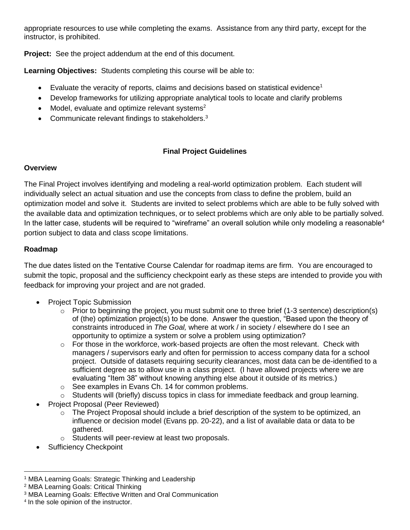appropriate resources to use while completing the exams. Assistance from any third party, except for the instructor, is prohibited.

**Project:** See the project addendum at the end of this document.

**Learning Objectives:** Students completing this course will be able to:

- Evaluate the veracity of reports, claims and decisions based on statistical evidence<sup>1</sup>
- Develop frameworks for utilizing appropriate analytical tools to locate and clarify problems
- Model, evaluate and optimize relevant systems $2$
- Communicate relevant findings to stakeholders.<sup>3</sup>

### **Final Project Guidelines**

#### **Overview**

The Final Project involves identifying and modeling a real-world optimization problem. Each student will individually select an actual situation and use the concepts from class to define the problem, build an optimization model and solve it. Students are invited to select problems which are able to be fully solved with the available data and optimization techniques, or to select problems which are only able to be partially solved. In the latter case, students will be required to "wireframe" an overall solution while only modeling a reasonable<sup>4</sup> portion subject to data and class scope limitations.

#### **Roadmap**

The due dates listed on the Tentative Course Calendar for roadmap items are firm. You are encouraged to submit the topic, proposal and the sufficiency checkpoint early as these steps are intended to provide you with feedback for improving your project and are not graded.

- Project Topic Submission
	- $\circ$  Prior to beginning the project, you must submit one to three brief (1-3 sentence) description(s) of (the) optimization project(s) to be done. Answer the question, "Based upon the theory of constraints introduced in *The Goal,* where at work / in society / elsewhere do I see an opportunity to optimize a system or solve a problem using optimization?
	- $\circ$  For those in the workforce, work-based projects are often the most relevant. Check with managers / supervisors early and often for permission to access company data for a school project. Outside of datasets requiring security clearances, most data can be de-identified to a sufficient degree as to allow use in a class project. (I have allowed projects where we are evaluating "Item 38" without knowing anything else about it outside of its metrics.)
	- o See examples in Evans Ch. 14 for common problems.
	- $\circ$  Students will (briefly) discuss topics in class for immediate feedback and group learning.
- Project Proposal (Peer Reviewed)
	- $\circ$  The Project Proposal should include a brief description of the system to be optimized, an influence or decision model (Evans pp. 20-22), and a list of available data or data to be gathered.
	- o Students will peer-review at least two proposals.
- Sufficiency Checkpoint

 $\overline{\phantom{a}}$ <sup>1</sup> MBA Learning Goals: Strategic Thinking and Leadership

<sup>2</sup> MBA Learning Goals: Critical Thinking

<sup>3</sup> MBA Learning Goals: Effective Written and Oral Communication

<sup>4</sup> In the sole opinion of the instructor.